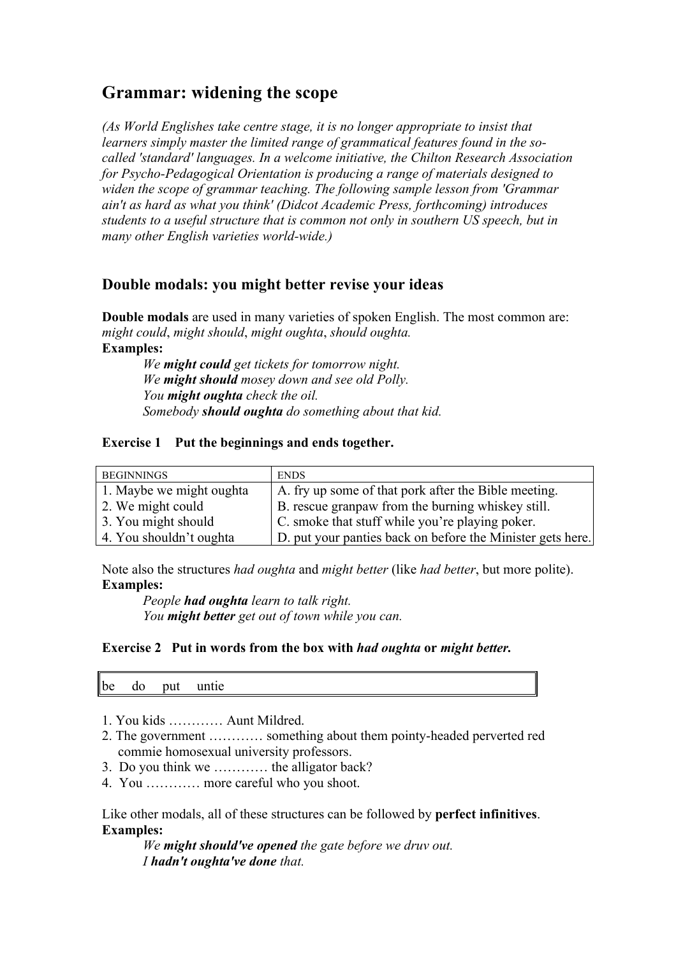# **Grammar: widening the scope**

*(As World Englishes take centre stage, it is no longer appropriate to insist that learners simply master the limited range of grammatical features found in the socalled 'standard' languages. In a welcome initiative, the Chilton Research Association for Psycho-Pedagogical Orientation is producing a range of materials designed to widen the scope of grammar teaching. The following sample lesson from 'Grammar ain't as hard as what you think' (Didcot Academic Press, forthcoming) introduces students to a useful structure that is common not only in southern US speech, but in many other English varieties world-wide.)*

## **Double modals: you might better revise your ideas**

**Double modals** are used in many varieties of spoken English. The most common are: *might could*, *might should*, *might oughta*, *should oughta.* **Examples:**  *We might could get tickets for tomorrow night.*

*We might should mosey down and see old Polly. You might oughta check the oil. Somebody should oughta do something about that kid.*

#### **Exercise 1 Put the beginnings and ends together.**

| <b>BEGINNINGS</b>        | <b>ENDS</b>                                                |
|--------------------------|------------------------------------------------------------|
| 1. Maybe we might oughta | A. fry up some of that pork after the Bible meeting.       |
| 2. We might could        | B. rescue granpaw from the burning whiskey still.          |
| 3. You might should      | C. smoke that stuff while you're playing poker.            |
| 4. You shouldn't oughta  | D. put your panties back on before the Minister gets here. |

Note also the structures *had oughta* and *might better* (like *had better*, but more polite). **Examples:**

*People had oughta learn to talk right. You might better get out of town while you can.*

#### **Exercise 2 Put in words from the box with** *had oughta* **or** *might better.*

be do put untie

- 1. You kids ………… Aunt Mildred.
- 2. The government ………… something about them pointy-headed perverted red commie homosexual university professors.
- 3. Do you think we ………… the alligator back?
- 4. You ………… more careful who you shoot.

Like other modals, all of these structures can be followed by **perfect infinitives**. **Examples:**

*We might should've opened the gate before we druv out. I hadn't oughta've done that.*